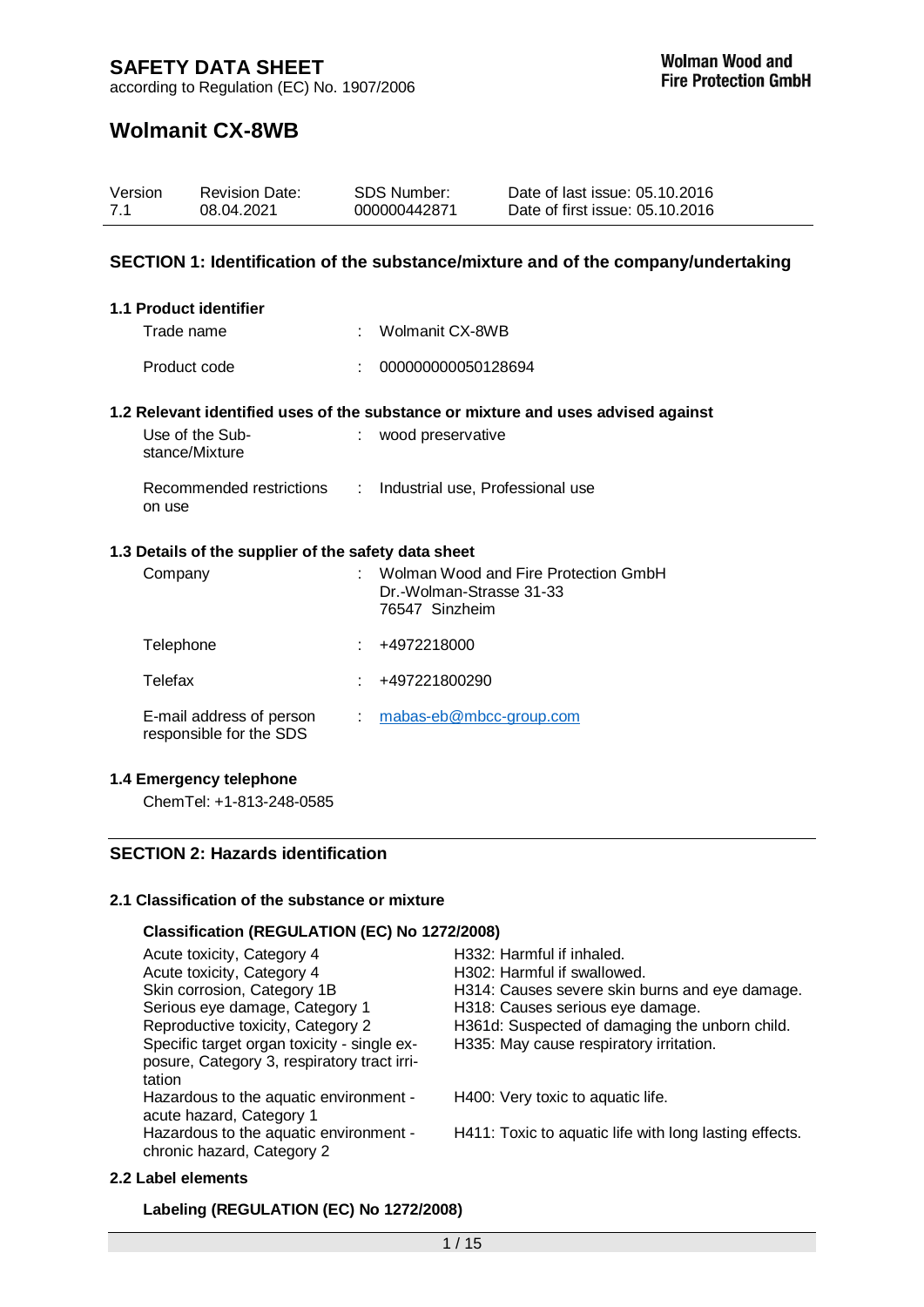## **Wolmanit CX-8WB**

| 7.1 | Version      | <b>Revision Date:</b><br>08.04.2021                  |               | <b>SDS Number:</b><br>000000442871         | Date of last issue: 05.10.2016<br>Date of first issue: 05.10.2016                 |
|-----|--------------|------------------------------------------------------|---------------|--------------------------------------------|-----------------------------------------------------------------------------------|
|     |              |                                                      |               |                                            | SECTION 1: Identification of the substance/mixture and of the company/undertaking |
|     |              | 1.1 Product identifier                               |               |                                            |                                                                                   |
|     | Trade name   |                                                      |               | Wolmanit CX-8WB                            |                                                                                   |
|     | Product code |                                                      |               | 000000000050128694                         |                                                                                   |
|     |              |                                                      |               |                                            | 1.2 Relevant identified uses of the substance or mixture and uses advised against |
|     |              | Use of the Sub-<br>stance/Mixture                    |               | : wood preservative                        |                                                                                   |
|     | on use       | Recommended restrictions                             | $\mathcal{L}$ | Industrial use, Professional use           |                                                                                   |
|     |              | 1.3 Details of the supplier of the safety data sheet |               |                                            |                                                                                   |
|     | Company      |                                                      |               | Dr.-Wolman-Strasse 31-33<br>76547 Sinzheim | Wolman Wood and Fire Protection GmbH                                              |
|     | Telephone    |                                                      |               | +4972218000                                |                                                                                   |
|     | Telefax      |                                                      |               | +497221800290                              |                                                                                   |
|     |              | E-mail address of person<br>responsible for the SDS  |               | mabas-eb@mbcc-group.com                    |                                                                                   |

### **1.4 Emergency telephone**

ChemTel: +1-813-248-0585

## **SECTION 2: Hazards identification**

## **2.1 Classification of the substance or mixture**

## **Classification (REGULATION (EC) No 1272/2008)**

| Acute toxicity, Category 4                  | H332: Harmful if inhaled.                              |
|---------------------------------------------|--------------------------------------------------------|
| Acute toxicity, Category 4                  | H302: Harmful if swallowed.                            |
| Skin corrosion, Category 1B                 | H314: Causes severe skin burns and eye damage.         |
| Serious eye damage, Category 1              | H318: Causes serious eye damage.                       |
| Reproductive toxicity, Category 2           | H361d: Suspected of damaging the unborn child.         |
| Specific target organ toxicity - single ex- | H335: May cause respiratory irritation.                |
| posure, Category 3, respiratory tract irri- |                                                        |
| tation                                      |                                                        |
| Hazardous to the aquatic environment -      | H400: Very toxic to aquatic life.                      |
| acute hazard, Category 1                    |                                                        |
| Hazardous to the aquatic environment -      | H411: Toxic to aquatic life with long lasting effects. |
| chronic hazard, Category 2                  |                                                        |

### **2.2 Label elements**

**Labeling (REGULATION (EC) No 1272/2008)**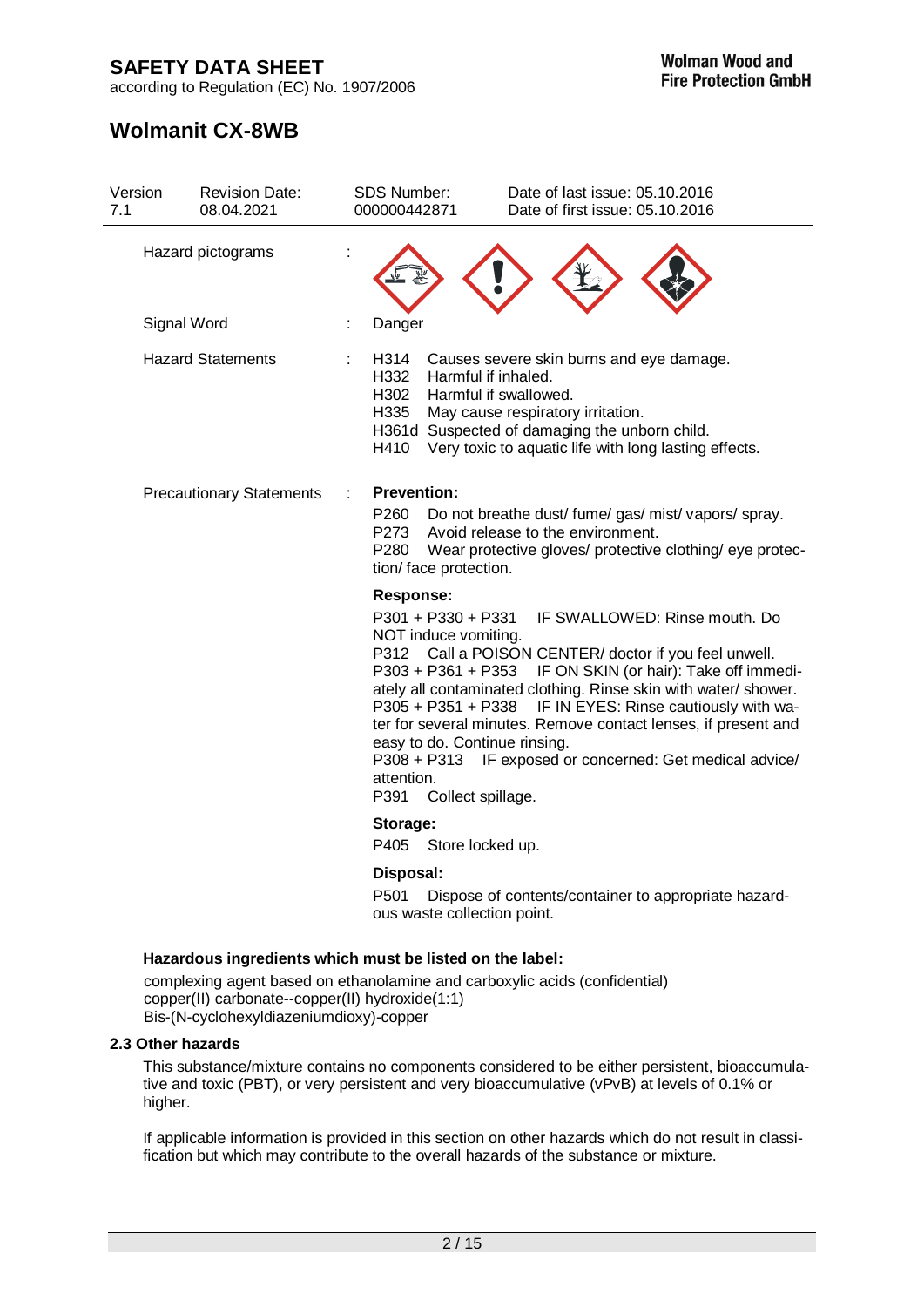according to Regulation (EC) No. 1907/2006

# **Wolmanit CX-8WB**

| Version<br><b>Revision Date:</b><br>7.1<br>08.04.2021 | <b>SDS Number:</b><br>000000442871                                                                                                                               | Date of last issue: 05.10.2016<br>Date of first issue: 05.10.2016                                                                                                                                                                                                                                                                                                                             |
|-------------------------------------------------------|------------------------------------------------------------------------------------------------------------------------------------------------------------------|-----------------------------------------------------------------------------------------------------------------------------------------------------------------------------------------------------------------------------------------------------------------------------------------------------------------------------------------------------------------------------------------------|
| Hazard pictograms                                     |                                                                                                                                                                  |                                                                                                                                                                                                                                                                                                                                                                                               |
| Signal Word                                           | Danger<br>t.                                                                                                                                                     |                                                                                                                                                                                                                                                                                                                                                                                               |
| <b>Hazard Statements</b>                              | H314<br>H332<br>Harmful if inhaled.<br>H302<br>H335<br>H410                                                                                                      | Causes severe skin burns and eye damage.<br>Harmful if swallowed.<br>May cause respiratory irritation.<br>H361d Suspected of damaging the unborn child.<br>Very toxic to aquatic life with long lasting effects.                                                                                                                                                                              |
| <b>Precautionary Statements</b>                       | <b>Prevention:</b><br>P260<br>P273<br>P280<br>tion/face protection.                                                                                              | Do not breathe dust/ fume/ gas/ mist/ vapors/ spray.<br>Avoid release to the environment.<br>Wear protective gloves/ protective clothing/ eye protec-                                                                                                                                                                                                                                         |
|                                                       | <b>Response:</b><br>P301 + P330 + P331<br>NOT induce vomiting.<br>P305 + P351 + P338<br>easy to do. Continue rinsing.<br>attention.<br>P391<br>Collect spillage. | IF SWALLOWED: Rinse mouth. Do<br>P312 Call a POISON CENTER/ doctor if you feel unwell.<br>P303 + P361 + P353 IF ON SKIN (or hair): Take off immedi-<br>ately all contaminated clothing. Rinse skin with water/ shower.<br>IF IN EYES: Rinse cautiously with wa-<br>ter for several minutes. Remove contact lenses, if present and<br>P308 + P313 IF exposed or concerned: Get medical advice/ |
|                                                       | Storage:                                                                                                                                                         |                                                                                                                                                                                                                                                                                                                                                                                               |
|                                                       | P405<br>Store locked up.                                                                                                                                         |                                                                                                                                                                                                                                                                                                                                                                                               |
|                                                       | Disposal:<br>P <sub>501</sub>                                                                                                                                    | Dispose of contents/container to appropriate hazard-                                                                                                                                                                                                                                                                                                                                          |

**Hazardous ingredients which must be listed on the label:**

complexing agent based on ethanolamine and carboxylic acids (confidential) copper(II) carbonate--copper(II) hydroxide(1:1) Bis-(N-cyclohexyldiazeniumdioxy)-copper

### **2.3 Other hazards**

This substance/mixture contains no components considered to be either persistent, bioaccumulative and toxic (PBT), or very persistent and very bioaccumulative (vPvB) at levels of 0.1% or higher.

ous waste collection point.

If applicable information is provided in this section on other hazards which do not result in classification but which may contribute to the overall hazards of the substance or mixture.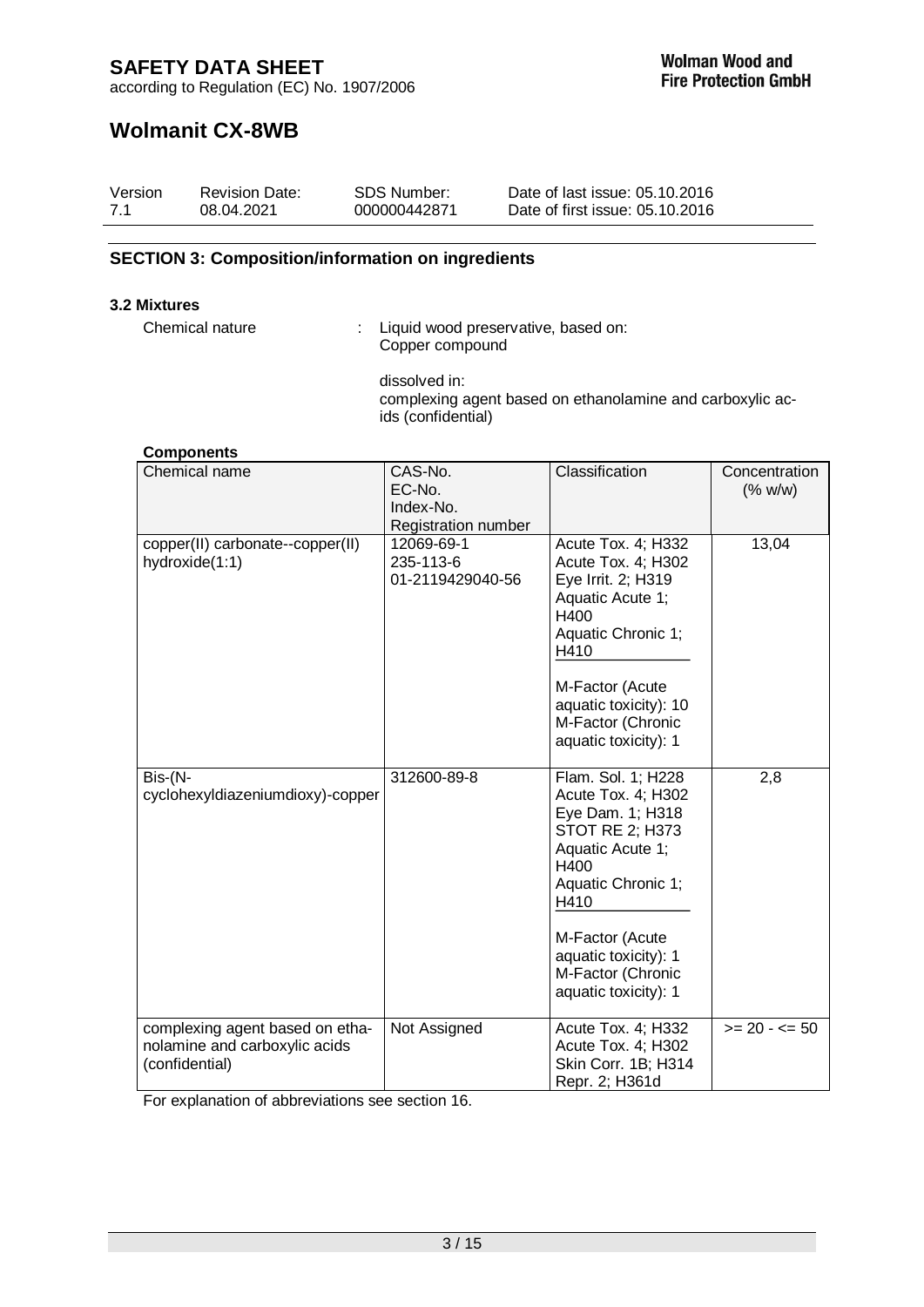according to Regulation (EC) No. 1907/2006

# **Wolmanit CX-8WB**

| Version | <b>Revision Date:</b> | SDS Number:  | Date of last issue: 05.10.2016  |
|---------|-----------------------|--------------|---------------------------------|
| 7.1     | 08.04.2021            | 000000442871 | Date of first issue: 05.10.2016 |

### **SECTION 3: Composition/information on ingredients**

#### **3.2 Mixtures**

Chemical nature : Liquid wood preservative, based on: Copper compound

> dissolved in: complexing agent based on ethanolamine and carboxylic acids (confidential)

| <b>Components</b>                                                                  |                                                       |                                                                                                                                                                                                                                          |                          |
|------------------------------------------------------------------------------------|-------------------------------------------------------|------------------------------------------------------------------------------------------------------------------------------------------------------------------------------------------------------------------------------------------|--------------------------|
| Chemical name                                                                      | CAS-No.<br>EC-No.<br>Index-No.<br>Registration number | Classification                                                                                                                                                                                                                           | Concentration<br>(% w/w) |
| copper(II) carbonate--copper(II)<br>hydroxide(1:1)                                 | 12069-69-1<br>235-113-6<br>01-2119429040-56           | Acute Tox. 4; H332<br>Acute Tox. 4; H302<br>Eye Irrit. 2; H319<br>Aquatic Acute 1;<br>H400<br>Aquatic Chronic 1;<br>H410<br>M-Factor (Acute<br>aquatic toxicity): 10<br>M-Factor (Chronic<br>aquatic toxicity): 1                        | 13,04                    |
| Bis-(N-<br>cyclohexyldiazeniumdioxy)-copper                                        | 312600-89-8                                           | Flam. Sol. 1; H228<br>Acute Tox. 4; H302<br>Eye Dam. 1; H318<br><b>STOT RE 2; H373</b><br>Aquatic Acute 1;<br>H400<br>Aquatic Chronic 1;<br>H410<br>M-Factor (Acute<br>aquatic toxicity): 1<br>M-Factor (Chronic<br>aquatic toxicity): 1 | 2,8                      |
| complexing agent based on etha-<br>nolamine and carboxylic acids<br>(confidential) | Not Assigned                                          | Acute Tox. 4; H332<br>Acute Tox. 4; H302<br>Skin Corr. 1B; H314<br>Repr. 2; H361d                                                                                                                                                        | $>= 20 - 50$             |

For explanation of abbreviations see section 16.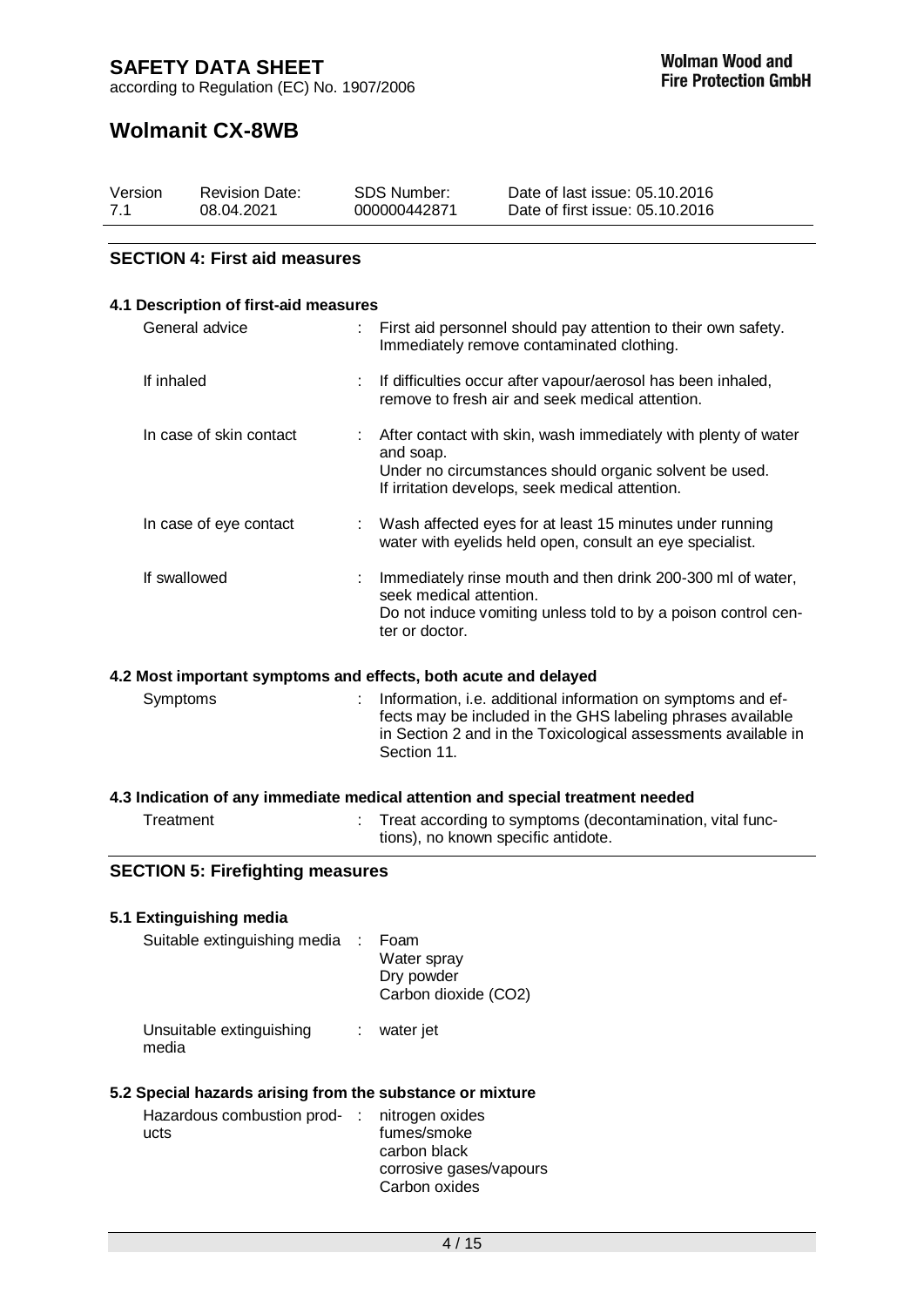## **Wolmanit CX-8WB**

| Version | <b>Revision Date:</b> | SDS Number:  | Date of last issue: 05.10.2016  |
|---------|-----------------------|--------------|---------------------------------|
| 7.1     | 08.04.2021            | 000000442871 | Date of first issue: 05.10.2016 |

### **SECTION 4: First aid measures**

### **4.1 Description of first-aid measures**

| General advice          | First aid personnel should pay attention to their own safety.<br>Immediately remove contaminated clothing.                                                                                 |  |
|-------------------------|--------------------------------------------------------------------------------------------------------------------------------------------------------------------------------------------|--|
| If inhaled              | If difficulties occur after vapour/aerosol has been inhaled,<br>remove to fresh air and seek medical attention.                                                                            |  |
| In case of skin contact | : After contact with skin, wash immediately with plenty of water<br>and soap.<br>Under no circumstances should organic solvent be used.<br>If irritation develops, seek medical attention. |  |
| In case of eye contact  | : Wash affected eyes for at least 15 minutes under running<br>water with eyelids held open, consult an eye specialist.                                                                     |  |
| If swallowed            | Immediately rinse mouth and then drink 200-300 ml of water,<br>seek medical attention.<br>Do not induce vomiting unless told to by a poison control cen-<br>ter or doctor.                 |  |

### **4.2 Most important symptoms and effects, both acute and delayed**

Symptoms : Information, i.e. additional information on symptoms and effects may be included in the GHS labeling phrases available in Section 2 and in the Toxicological assessments available in Section 11.

### **4.3 Indication of any immediate medical attention and special treatment needed**

| Treatment | Treat according to symptoms (decontamination, vital func- |
|-----------|-----------------------------------------------------------|
|           | tions), no known specific antidote.                       |

### **SECTION 5: Firefighting measures**

#### **5.1 Extinguishing media**  $S$ uitable extinguishing media  $\cdot$  F

| Suitable extinguishing media      | Foam<br>Water spray<br>Dry powder<br>Carbon dioxide (CO2) |
|-----------------------------------|-----------------------------------------------------------|
| Unsuitable extinguishing<br>media | water jet                                                 |

### **5.2 Special hazards arising from the substance or mixture**

| Hazardous combustion prod- : nitrogen oxides |                         |
|----------------------------------------------|-------------------------|
| ucts                                         | fumes/smoke             |
|                                              | carbon black            |
|                                              | corrosive gases/vapours |
|                                              | Carbon oxides           |
|                                              |                         |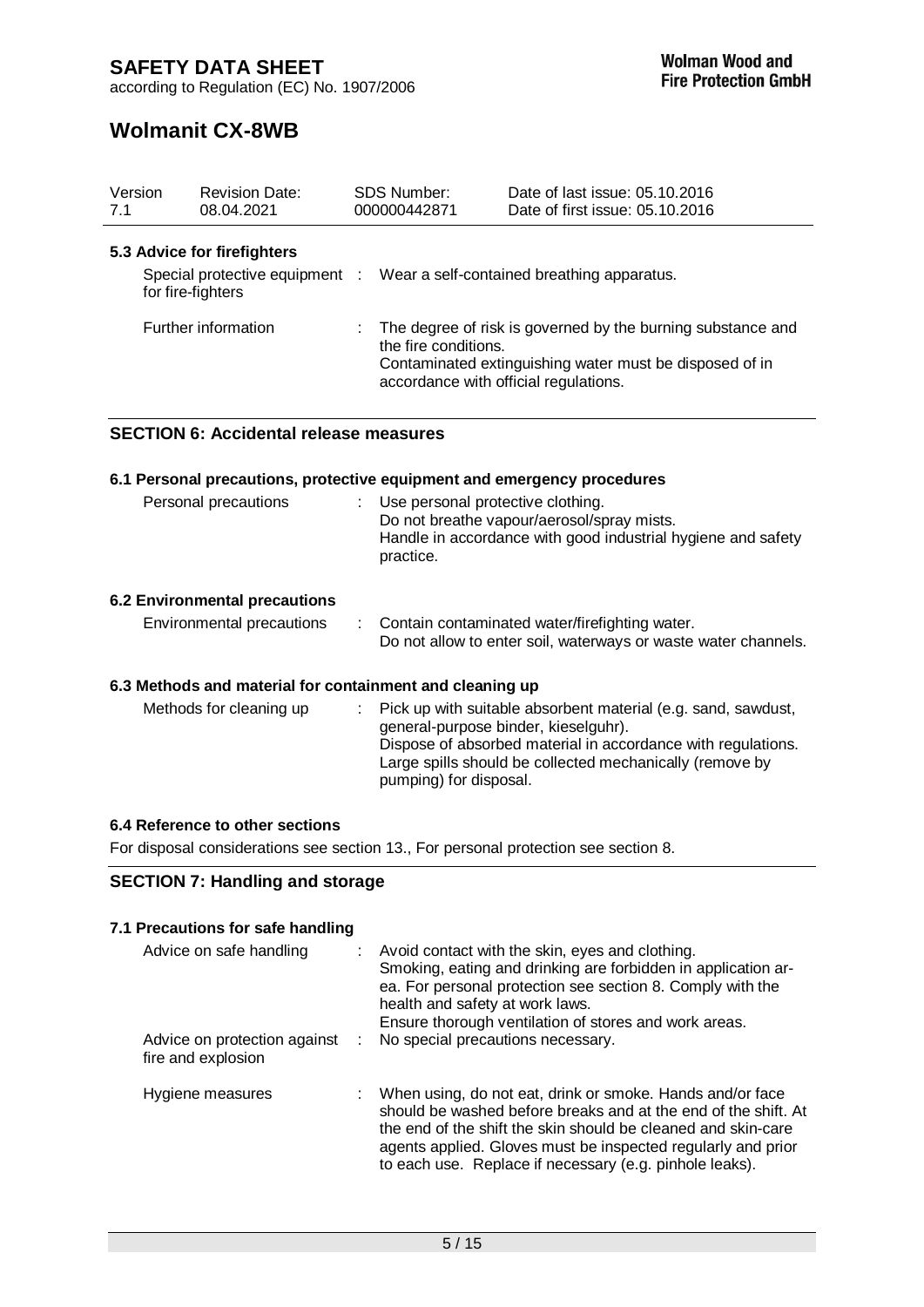according to Regulation (EC) No. 1907/2006

# **Wolmanit CX-8WB**

| Version<br>7.1 | <b>Revision Date:</b><br>08.04.2021                 | SDS Number:<br>000000442871                                   | Date of last issue: 05.10.2016<br>Date of first issue: 05.10.2016                                                      |
|----------------|-----------------------------------------------------|---------------------------------------------------------------|------------------------------------------------------------------------------------------------------------------------|
|                | 5.3 Advice for firefighters                         |                                                               |                                                                                                                        |
|                | Special protective equipment :<br>for fire-fighters |                                                               | Wear a self-contained breathing apparatus.                                                                             |
|                | Further information                                 | the fire conditions.<br>accordance with official regulations. | The degree of risk is governed by the burning substance and<br>Contaminated extinguishing water must be disposed of in |

## **SECTION 6: Accidental release measures**

|                                                          | 6.1 Personal precautions, protective equipment and emergency procedures                                                                                                                                                                                           |
|----------------------------------------------------------|-------------------------------------------------------------------------------------------------------------------------------------------------------------------------------------------------------------------------------------------------------------------|
| Personal precautions                                     | : Use personal protective clothing.<br>Do not breathe vapour/aerosol/spray mists.<br>Handle in accordance with good industrial hygiene and safety<br>practice.                                                                                                    |
| 6.2 Environmental precautions                            |                                                                                                                                                                                                                                                                   |
| Environmental precautions                                | : Contain contaminated water/firefighting water.<br>Do not allow to enter soil, waterways or waste water channels.                                                                                                                                                |
| 6.3 Methods and material for containment and cleaning up |                                                                                                                                                                                                                                                                   |
| Methods for cleaning up                                  | Pick up with suitable absorbent material (e.g. sand, sawdust,<br>t.<br>general-purpose binder, kieselguhr).<br>Dispose of absorbed material in accordance with regulations.<br>Large spills should be collected mechanically (remove by<br>pumping) for disposal. |

## **6.4 Reference to other sections**

For disposal considerations see section 13., For personal protection see section 8.

## **SECTION 7: Handling and storage**

### **7.1 Precautions for safe handling** Advice on safe handling : Avoid contact with the skin, eyes and clothing.

| <b>Havice Off Sarchianum</b><br>Advice on protection against<br>fire and explosion | AVUU CURUCU MIII IRC SKIII, CYCS QHU CIOIHIIQ.<br>Smoking, eating and drinking are forbidden in application ar-<br>ea. For personal protection see section 8. Comply with the<br>health and safety at work laws.<br>Ensure thorough ventilation of stores and work areas.<br>No special precautions necessary.            |
|------------------------------------------------------------------------------------|---------------------------------------------------------------------------------------------------------------------------------------------------------------------------------------------------------------------------------------------------------------------------------------------------------------------------|
| Hygiene measures                                                                   | : When using, do not eat, drink or smoke. Hands and/or face<br>should be washed before breaks and at the end of the shift. At<br>the end of the shift the skin should be cleaned and skin-care<br>agents applied. Gloves must be inspected regularly and prior<br>to each use. Replace if necessary (e.g. pinhole leaks). |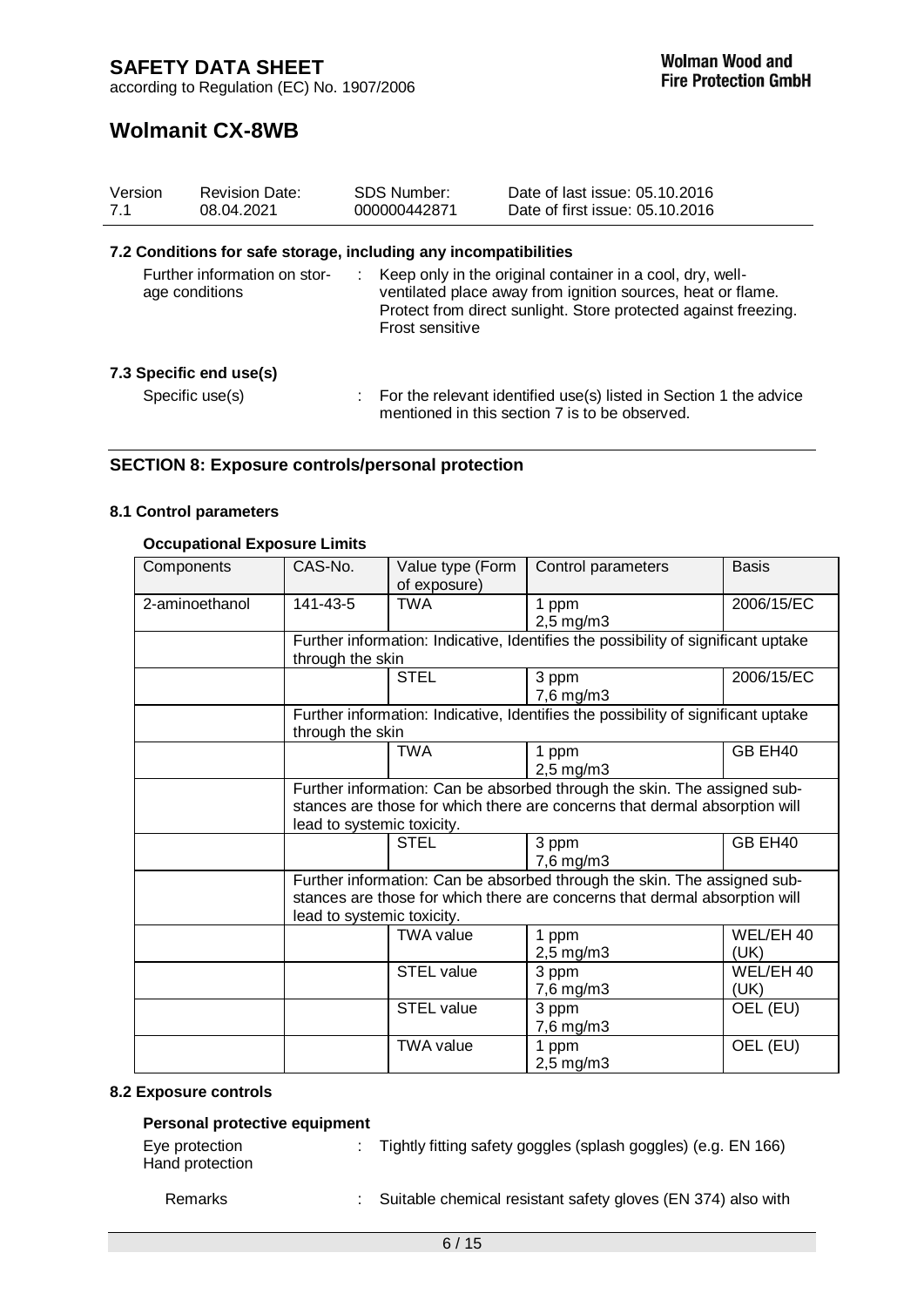# **Wolmanit CX-8WB**

| Version<br>7.1                                 | <b>Revision Date:</b><br>08.04.2021                              | <b>SDS Number:</b><br>000000442871 | Date of last issue: 05.10.2016<br>Date of first issue: 05.10.2016                                                                                                                           |
|------------------------------------------------|------------------------------------------------------------------|------------------------------------|---------------------------------------------------------------------------------------------------------------------------------------------------------------------------------------------|
|                                                | 7.2 Conditions for safe storage, including any incompatibilities |                                    |                                                                                                                                                                                             |
| Further information on stor-<br>age conditions |                                                                  | Frost sensitive                    | Keep only in the original container in a cool, dry, well-<br>ventilated place away from ignition sources, heat or flame.<br>Protect from direct sunlight. Store protected against freezing. |
| 7.3 Specific end use(s)                        |                                                                  |                                    |                                                                                                                                                                                             |
| Specific use(s)                                |                                                                  |                                    | $\therefore$ For the relevant identified use(s) listed in Section 1 the advice<br>mentioned in this section 7 is to be observed.                                                            |

## **SECTION 8: Exposure controls/personal protection**

### **8.1 Control parameters**

### **Occupational Exposure Limits**

| Components     | CAS-No.                                                                                                                                                                              | Value type (Form<br>of exposure)                                                                                                                                                     | Control parameters                                                                | <b>Basis</b>      |
|----------------|--------------------------------------------------------------------------------------------------------------------------------------------------------------------------------------|--------------------------------------------------------------------------------------------------------------------------------------------------------------------------------------|-----------------------------------------------------------------------------------|-------------------|
| 2-aminoethanol | 141-43-5                                                                                                                                                                             | <b>TWA</b>                                                                                                                                                                           | 1 ppm<br>$2,5$ mg/m $3$                                                           | 2006/15/EC        |
|                | through the skin                                                                                                                                                                     |                                                                                                                                                                                      | Further information: Indicative, Identifies the possibility of significant uptake |                   |
|                |                                                                                                                                                                                      | <b>STEL</b>                                                                                                                                                                          | 3 ppm<br>7,6 mg/m3                                                                | 2006/15/EC        |
|                | through the skin                                                                                                                                                                     |                                                                                                                                                                                      | Further information: Indicative, Identifies the possibility of significant uptake |                   |
|                |                                                                                                                                                                                      | TWA                                                                                                                                                                                  | 1 ppm<br>$2,5$ mg/m $3$                                                           | GB EH40           |
|                |                                                                                                                                                                                      | Further information: Can be absorbed through the skin. The assigned sub-<br>stances are those for which there are concerns that dermal absorption will<br>lead to systemic toxicity. |                                                                                   |                   |
|                |                                                                                                                                                                                      | <b>STEL</b>                                                                                                                                                                          | 3 ppm<br>7,6 mg/m3                                                                | GB EH40           |
|                | Further information: Can be absorbed through the skin. The assigned sub-<br>stances are those for which there are concerns that dermal absorption will<br>lead to systemic toxicity. |                                                                                                                                                                                      |                                                                                   |                   |
|                |                                                                                                                                                                                      | <b>TWA value</b>                                                                                                                                                                     | 1 ppm<br>$2,5$ mg/m $3$                                                           | WEL/EH 40<br>(UK) |
|                |                                                                                                                                                                                      | <b>STEL value</b>                                                                                                                                                                    | 3 ppm<br>7,6 mg/m3                                                                | WEL/EH 40<br>(UK) |
|                |                                                                                                                                                                                      | <b>STEL value</b>                                                                                                                                                                    | 3 ppm<br>7,6 mg/m3                                                                | OEL (EU)          |
|                |                                                                                                                                                                                      | <b>TWA value</b>                                                                                                                                                                     | 1 ppm<br>$2,5$ mg/m $3$                                                           | OEL (EU)          |

#### **8.2 Exposure controls**

### **Personal protective equipment**

| Eye protection  | Tightly fitting safety goggles (splash goggles) (e.g. EN 166) |
|-----------------|---------------------------------------------------------------|
| Hand protection |                                                               |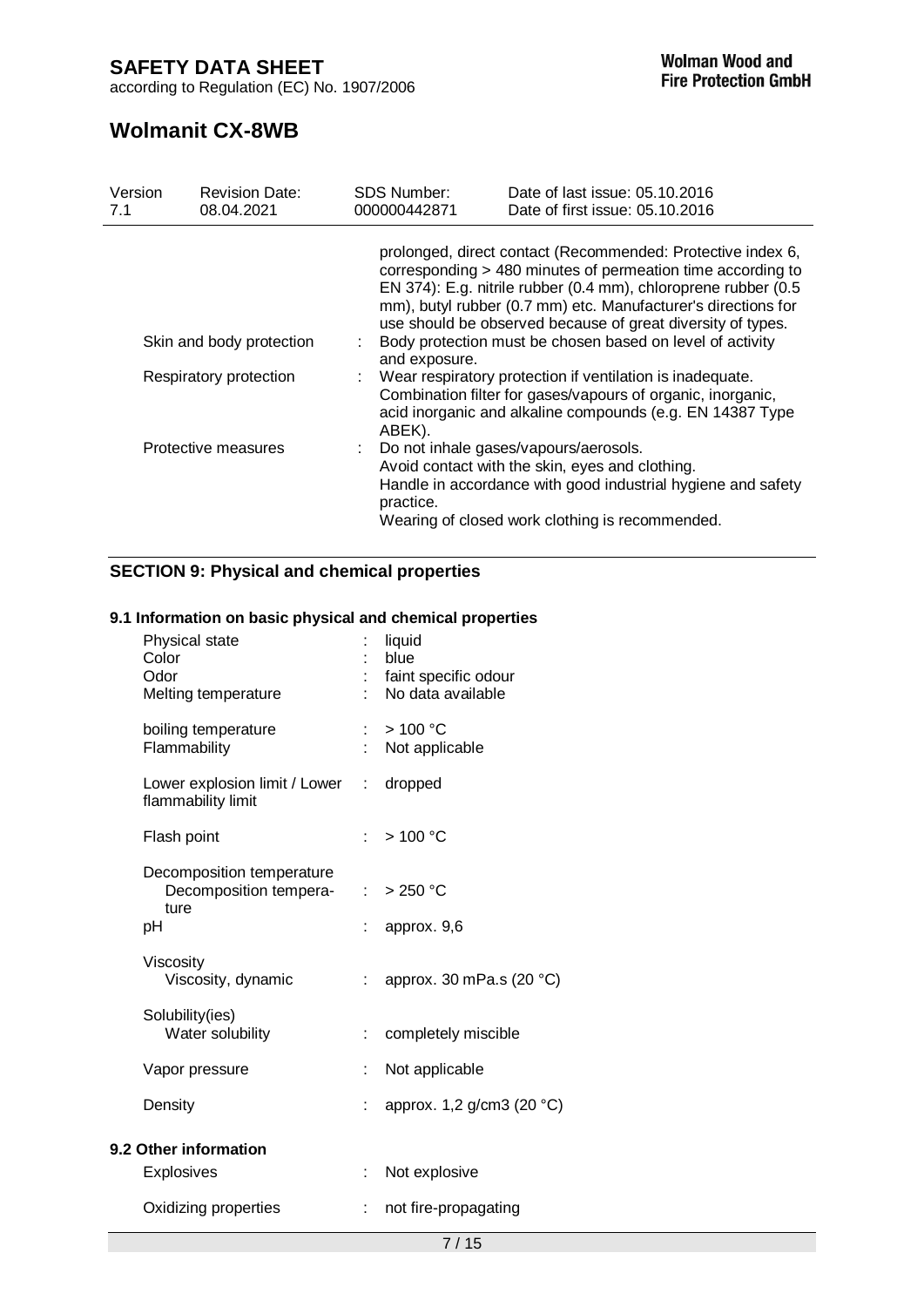according to Regulation (EC) No. 1907/2006

# **Wolmanit CX-8WB**

| Version<br>7.1                                     | <b>Revision Date:</b><br>08.04.2021 | <b>SDS Number:</b><br>000000442871                                                                                                                                                                | Date of last issue: 05.10.2016<br>Date of first issue: 05.10.2016                                                                                                                                                                                                                                                            |  |  |  |  |
|----------------------------------------------------|-------------------------------------|---------------------------------------------------------------------------------------------------------------------------------------------------------------------------------------------------|------------------------------------------------------------------------------------------------------------------------------------------------------------------------------------------------------------------------------------------------------------------------------------------------------------------------------|--|--|--|--|
|                                                    |                                     |                                                                                                                                                                                                   | prolonged, direct contact (Recommended: Protective index 6,<br>corresponding > 480 minutes of permeation time according to<br>EN 374): E.g. nitrile rubber (0.4 mm), chloroprene rubber (0.5<br>mm), butyl rubber (0.7 mm) etc. Manufacturer's directions for<br>use should be observed because of great diversity of types. |  |  |  |  |
| Skin and body protection<br>Respiratory protection |                                     | Body protection must be chosen based on level of activity<br>and exposure.                                                                                                                        |                                                                                                                                                                                                                                                                                                                              |  |  |  |  |
|                                                    |                                     | : Wear respiratory protection if ventilation is inadequate.<br>Combination filter for gases/vapours of organic, inorganic,<br>acid inorganic and alkaline compounds (e.g. EN 14387 Type<br>ABEK). |                                                                                                                                                                                                                                                                                                                              |  |  |  |  |
|                                                    | Protective measures                 | practice.                                                                                                                                                                                         | : Do not inhale gases/vapours/aerosols.<br>Avoid contact with the skin, eyes and clothing.<br>Handle in accordance with good industrial hygiene and safety<br>Wearing of closed work clothing is recommended.                                                                                                                |  |  |  |  |

## **SECTION 9: Physical and chemical properties**

### **9.1 Information on basic physical and chemical properties**

|                                     | liquid<br>blue<br>faint specific odour<br>No data available |
|-------------------------------------|-------------------------------------------------------------|
|                                     | >100 °C<br>Not applicable                                   |
| Lower explosion limit / Lower<br>t. | dropped                                                     |
| t.                                  | >100 °C                                                     |
| Decomposition tempera-              | : $> 250 °C$<br>approx. 9,6                                 |
|                                     | : approx. 30 mPa.s (20 $^{\circ}$ C)                        |
|                                     | completely miscible                                         |
| ÷                                   | Not applicable                                              |
|                                     | approx. 1,2 g/cm3 (20 °C)                                   |
|                                     |                                                             |
| ÷.                                  | Not explosive                                               |
|                                     | not fire-propagating                                        |
|                                     |                                                             |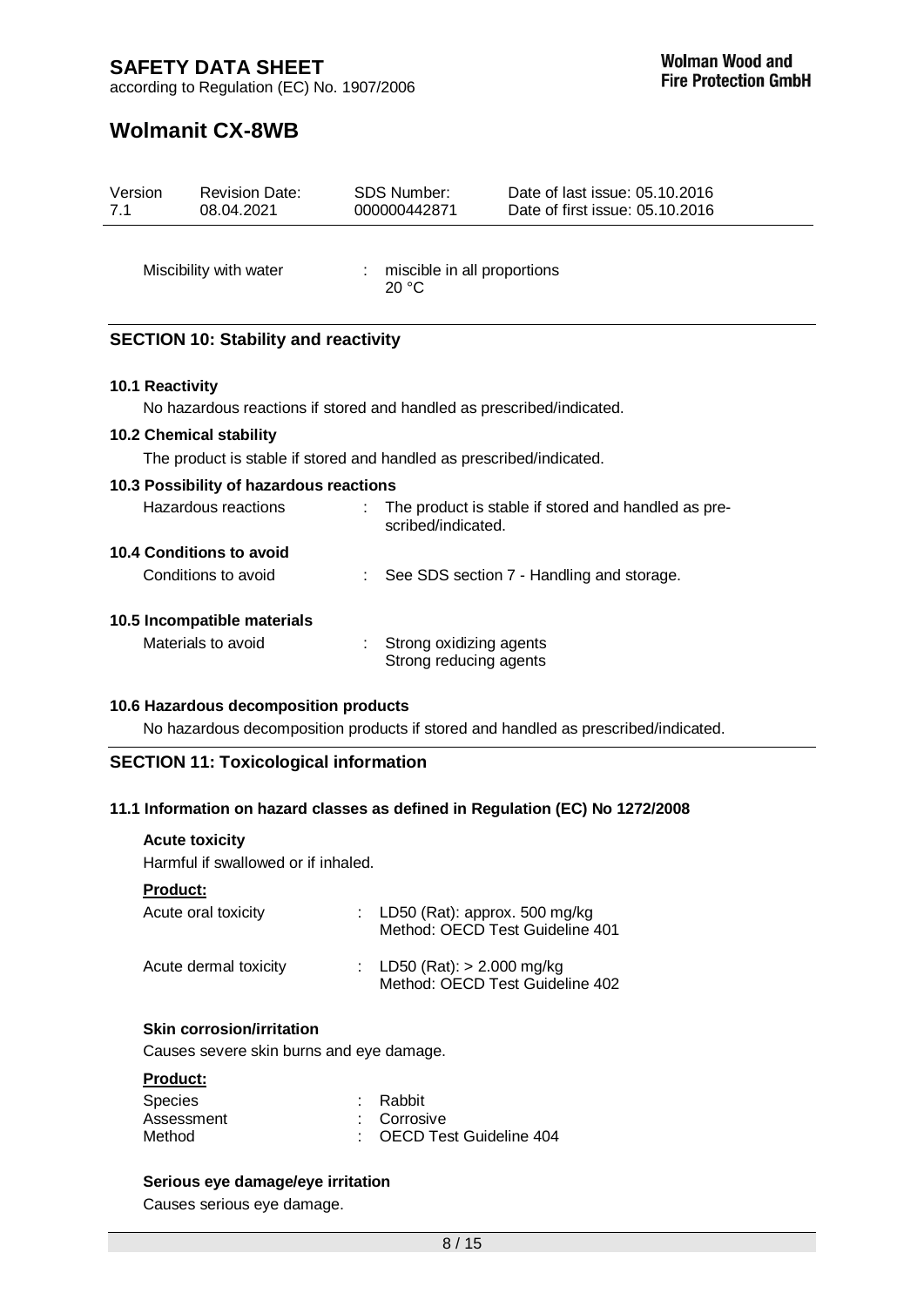according to Regulation (EC) No. 1907/2006

# **Wolmanit CX-8WB**

| Version<br>7.1                 | <b>Revision Date:</b><br>08.04.2021                                   | <b>SDS Number:</b><br>000000442871 |                                                   | Date of last issue: 05.10.2016<br>Date of first issue: 05.10.2016 |  |
|--------------------------------|-----------------------------------------------------------------------|------------------------------------|---------------------------------------------------|-------------------------------------------------------------------|--|
|                                | Miscibility with water                                                |                                    | miscible in all proportions<br>20 °C              |                                                                   |  |
|                                | <b>SECTION 10: Stability and reactivity</b>                           |                                    |                                                   |                                                                   |  |
| 10.1 Reactivity                |                                                                       |                                    |                                                   |                                                                   |  |
|                                | No hazardous reactions if stored and handled as prescribed/indicated. |                                    |                                                   |                                                                   |  |
| <b>10.2 Chemical stability</b> |                                                                       |                                    |                                                   |                                                                   |  |
|                                | The product is stable if stored and handled as prescribed/indicated.  |                                    |                                                   |                                                                   |  |
|                                | 10.3 Possibility of hazardous reactions                               |                                    |                                                   |                                                                   |  |
|                                | Hazardous reactions                                                   |                                    | scribed/indicated.                                | The product is stable if stored and handled as pre-               |  |
|                                | <b>10.4 Conditions to avoid</b>                                       |                                    |                                                   |                                                                   |  |
|                                | Conditions to avoid                                                   |                                    |                                                   | See SDS section 7 - Handling and storage.                         |  |
|                                | 10.5 Incompatible materials                                           |                                    |                                                   |                                                                   |  |
|                                | Materials to avoid                                                    | t                                  | Strong oxidizing agents<br>Strong reducing agents |                                                                   |  |
|                                | 10.6 Hazardous decomposition products                                 |                                    |                                                   |                                                                   |  |

No hazardous decomposition products if stored and handled as prescribed/indicated.

## **SECTION 11: Toxicological information**

## **11.1 Information on hazard classes as defined in Regulation (EC) No 1272/2008**

#### **Acute toxicity**

Harmful if swallowed or if inhaled.

#### **Product:**

| Acute oral toxicity   | : LD50 (Rat): approx. 500 mg/kg<br>Method: OECD Test Guideline 401 |
|-----------------------|--------------------------------------------------------------------|
| Acute dermal toxicity | : LD50 (Rat): $> 2.000$ mg/kg<br>Method: OECD Test Guideline 402   |

#### **Skin corrosion/irritation**

Causes severe skin burns and eye damage.

### **Product:**

| <b>Species</b> | : Rabbit                  |
|----------------|---------------------------|
| Assessment     | : Corrosive               |
| Method         | : OECD Test Guideline 404 |

### **Serious eye damage/eye irritation**

Causes serious eye damage.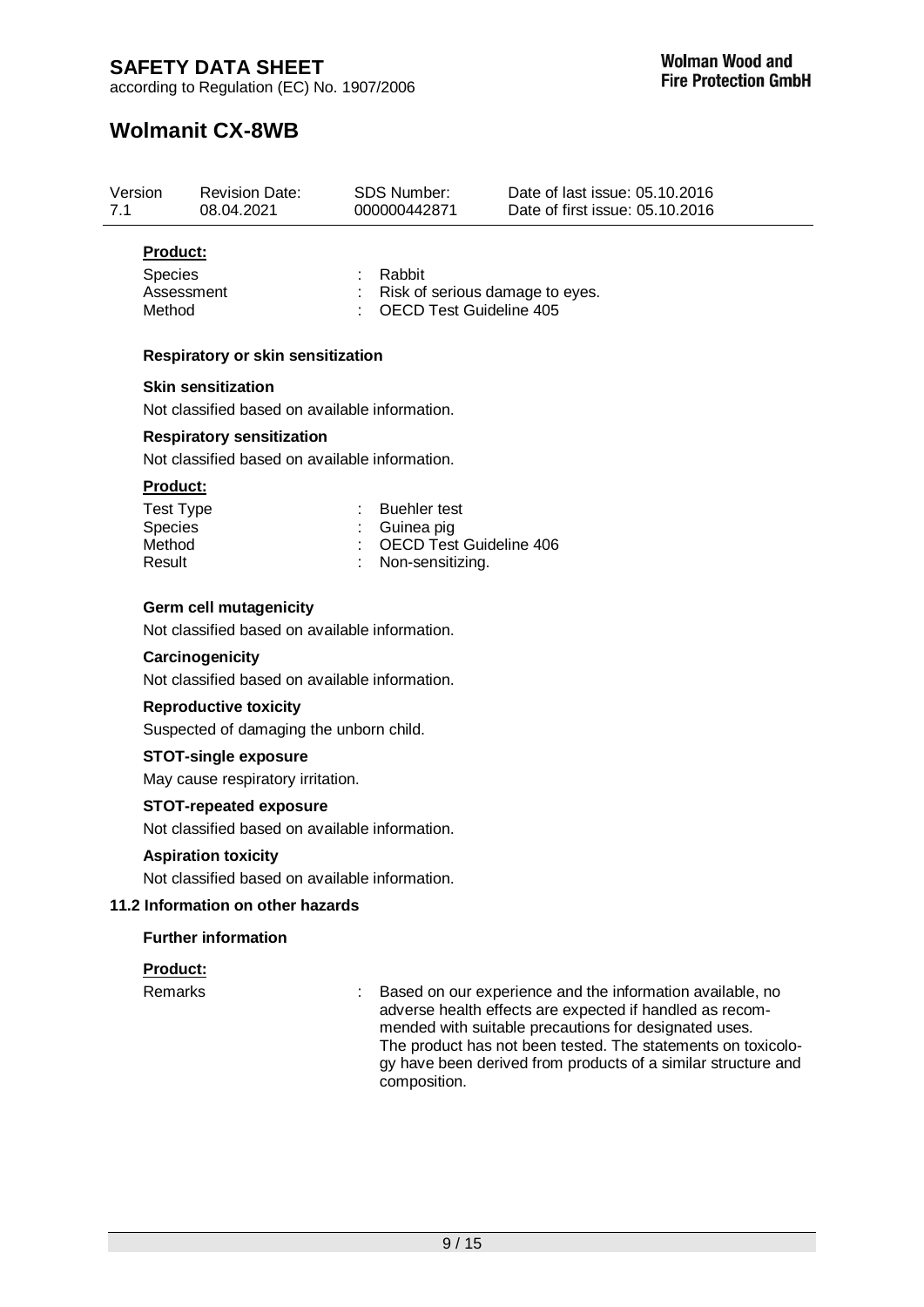according to Regulation (EC) No. 1907/2006

# **Wolmanit CX-8WB**

| Version<br>7.1  | <b>Revision Date:</b><br>08.04.2021      | <b>SDS Number:</b><br>000000442871 |                                | Date of last issue: 05.10.2016<br>Date of first issue: 05.10.2016 |
|-----------------|------------------------------------------|------------------------------------|--------------------------------|-------------------------------------------------------------------|
| <b>Product:</b> |                                          | ٠                                  | Rabbit                         |                                                                   |
| <b>Species</b>  | Assessment                               |                                    |                                | Risk of serious damage to eyes.                                   |
| Method          |                                          |                                    | <b>OECD Test Guideline 405</b> |                                                                   |
|                 | <b>Respiratory or skin sensitization</b> |                                    |                                |                                                                   |

# **Skin sensitization**

Not classified based on available information.

### **Respiratory sensitization**

Not classified based on available information.

#### **Product:**

| <b>Test Type</b> | : Buehler test            |
|------------------|---------------------------|
| <b>Species</b>   | : Guinea pig              |
| Method           | : OECD Test Guideline 406 |
| Result           | : Non-sensitizing.        |

### **Germ cell mutagenicity**

Not classified based on available information.

#### **Carcinogenicity**

Not classified based on available information.

### **Reproductive toxicity**

Suspected of damaging the unborn child.

#### **STOT-single exposure**

May cause respiratory irritation.

### **STOT-repeated exposure**

Not classified based on available information.

#### **Aspiration toxicity**

Not classified based on available information.

### **11.2 Information on other hazards**

### **Further information**

### **Product:**

Remarks : Based on our experience and the information available, no adverse health effects are expected if handled as recommended with suitable precautions for designated uses. The product has not been tested. The statements on toxicology have been derived from products of a similar structure and composition.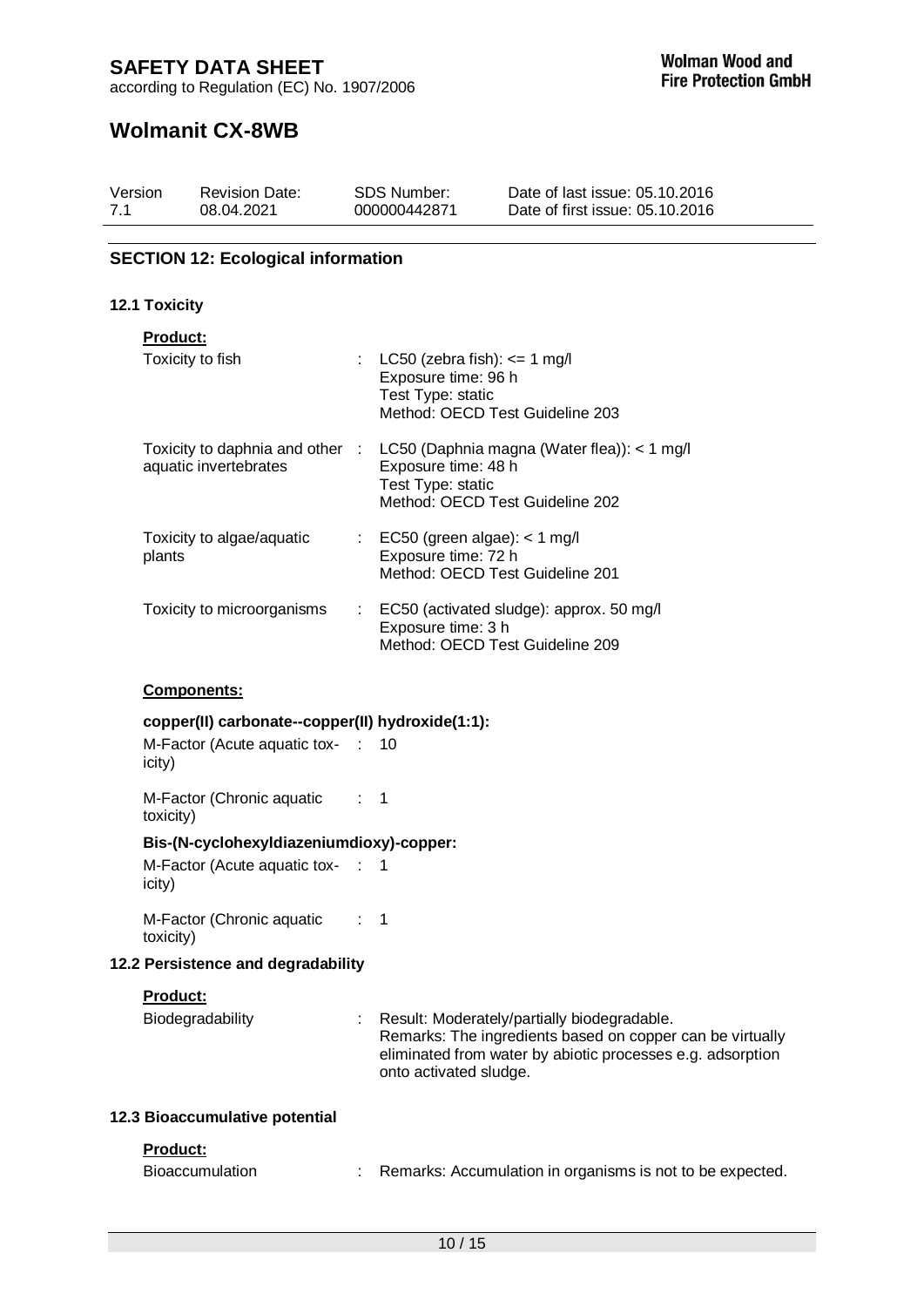according to Regulation (EC) No. 1907/2006

# **Wolmanit CX-8WB**

| Version | <b>Revision Date:</b> | <b>SDS Number:</b> | Date of last issue: 05.10.2016  |
|---------|-----------------------|--------------------|---------------------------------|
| 7.1     | 08.04.2021            | 000000442871       | Date of first issue: 05.10.2016 |

## **SECTION 12: Ecological information**

### **12.1 Toxicity**

| <b>Product:</b>                                          |     |                                                                                                                            |
|----------------------------------------------------------|-----|----------------------------------------------------------------------------------------------------------------------------|
| Toxicity to fish                                         |     | : LC50 (zebra fish): $\epsilon$ = 1 mg/l<br>Exposure time: 96 h<br>Test Type: static<br>Method: OECD Test Guideline 203    |
| Toxicity to daphnia and other :<br>aquatic invertebrates |     | LC50 (Daphnia magna (Water flea)): < 1 mg/l<br>Exposure time: 48 h<br>Test Type: static<br>Method: OECD Test Guideline 202 |
| Toxicity to algae/aquatic<br>plants                      |     | $\therefore$ EC50 (green algae): < 1 mg/l<br>Exposure time: 72 h<br>Method: OECD Test Guideline 201                        |
| Toxicity to microorganisms                               | t i | EC50 (activated sludge): approx. 50 mg/l<br>Exposure time: 3 h<br>Method: OECD Test Guideline 209                          |

## **Components:**

### **copper(II) carbonate--copper(II) hydroxide(1:1):**

| M-Factor (Acute aquatic tox- : 10 |  |
|-----------------------------------|--|
| icity)                            |  |

M-Factor (Chronic aquatic : 1 toxicity)

## **Bis-(N-cyclohexyldiazeniumdioxy)-copper:**

M-Factor (Acute aquatic tox- : 1 icity)

M-Factor (Chronic aquatic : 1 toxicity)

### **12.2 Persistence and degradability**

### **Product:**

| Biodegradability | : Result: Moderately/partially biodegradable.              |
|------------------|------------------------------------------------------------|
|                  | Remarks: The ingredients based on copper can be virtually  |
|                  | eliminated from water by abiotic processes e.g. adsorption |
|                  | onto activated sludge.                                     |

### **12.3 Bioaccumulative potential**

### **Product:**

| Bioaccumulation | Remarks: Accumulation in organisms is not to be expected. |
|-----------------|-----------------------------------------------------------|
|-----------------|-----------------------------------------------------------|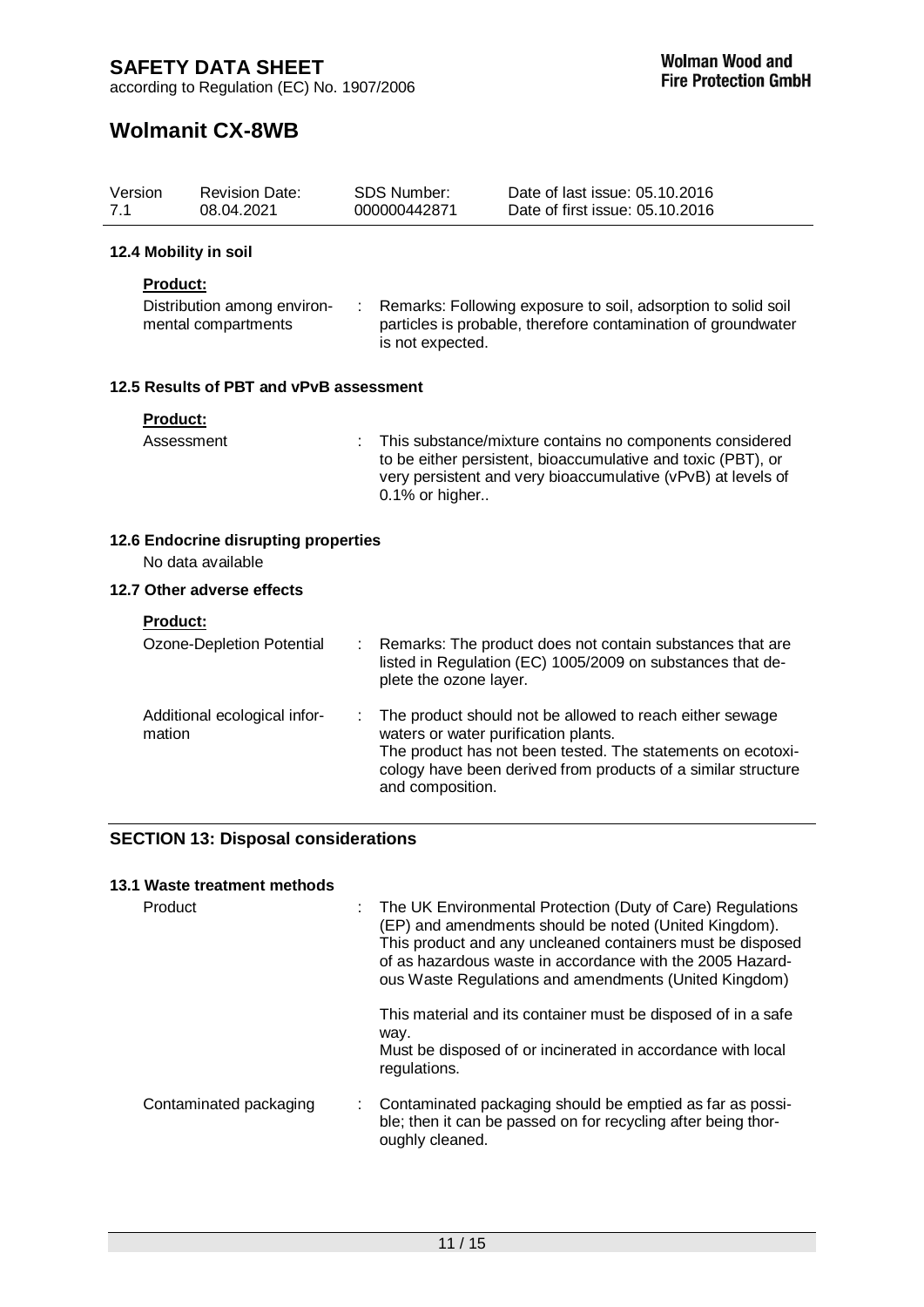according to Regulation (EC) No. 1907/2006

# **Wolmanit CX-8WB**

| Version<br>7.1  | <b>Revision Date:</b><br>08.04.2021                       |    | <b>SDS Number:</b><br>000000442871                       | Date of last issue: 05.10.2016<br>Date of first issue: 05.10.2016                                                                                                                        |  |
|-----------------|-----------------------------------------------------------|----|----------------------------------------------------------|------------------------------------------------------------------------------------------------------------------------------------------------------------------------------------------|--|
|                 | 12.4 Mobility in soil                                     |    |                                                          |                                                                                                                                                                                          |  |
| Product:        |                                                           |    |                                                          |                                                                                                                                                                                          |  |
|                 | Distribution among environ-<br>mental compartments        |    |                                                          | Remarks: Following exposure to soil, adsorption to solid soil<br>particles is probable, therefore contamination of groundwater<br>is not expected.                                       |  |
|                 | 12.5 Results of PBT and vPvB assessment                   |    |                                                          |                                                                                                                                                                                          |  |
| Product:        |                                                           |    |                                                          |                                                                                                                                                                                          |  |
|                 | Assessment                                                | t. | 0.1% or higher                                           | This substance/mixture contains no components considered<br>to be either persistent, bioaccumulative and toxic (PBT), or<br>very persistent and very bioaccumulative (vPvB) at levels of |  |
|                 | 12.6 Endocrine disrupting properties<br>No data available |    |                                                          |                                                                                                                                                                                          |  |
|                 | 12.7 Other adverse effects                                |    |                                                          |                                                                                                                                                                                          |  |
| <b>Product:</b> |                                                           |    |                                                          |                                                                                                                                                                                          |  |
|                 | Ozone-Depletion Potential                                 | ÷  | plete the ozone layer.                                   | Remarks: The product does not contain substances that are<br>listed in Regulation (EC) 1005/2009 on substances that de-                                                                  |  |
| mation          | Additional ecological infor-                              | t. | waters or water purification plants.<br>and composition. | The product should not be allowed to reach either sewage<br>The product has not been tested. The statements on ecotoxi-<br>cology have been derived from products of a similar structure |  |
|                 | <b>SECTION 13: Disposal considerations</b>                |    |                                                          |                                                                                                                                                                                          |  |

### **13.1 Waste treatment methods**

| Product                | : The UK Environmental Protection (Duty of Care) Regulations<br>(EP) and amendments should be noted (United Kingdom).<br>This product and any uncleaned containers must be disposed<br>of as hazardous waste in accordance with the 2005 Hazard-<br>ous Waste Regulations and amendments (United Kingdom) |
|------------------------|-----------------------------------------------------------------------------------------------------------------------------------------------------------------------------------------------------------------------------------------------------------------------------------------------------------|
|                        | This material and its container must be disposed of in a safe<br>way.<br>Must be disposed of or incinerated in accordance with local<br>regulations.                                                                                                                                                      |
| Contaminated packaging | Contaminated packaging should be emptied as far as possi-<br>ble; then it can be passed on for recycling after being thor-<br>oughly cleaned.                                                                                                                                                             |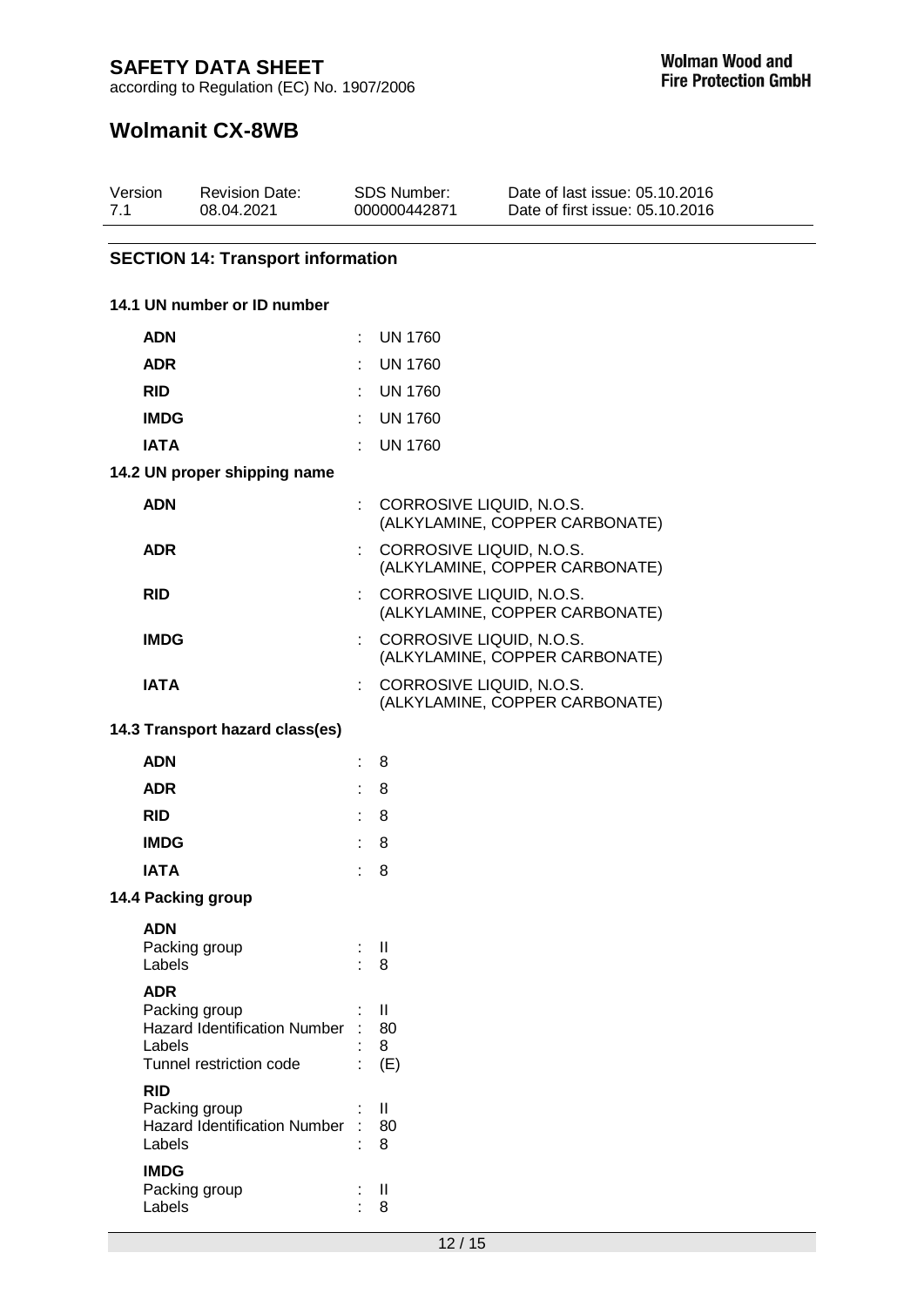according to Regulation (EC) No. 1907/2006

# **Wolmanit CX-8WB**

| Version | <b>Revision Date:</b> | SDS Number:  | Date of last issue: 05.10.2016  |  |
|---------|-----------------------|--------------|---------------------------------|--|
| 7.1     | 08.04.2021            | 000000442871 | Date of first issue: 05.10.2016 |  |
|         |                       |              |                                 |  |

### **SECTION 14: Transport information**

### **14.1 UN number or ID number**

| <b>ADN</b>                                                                                              |                             | <b>UN 1760</b>                                             |
|---------------------------------------------------------------------------------------------------------|-----------------------------|------------------------------------------------------------|
| <b>ADR</b>                                                                                              |                             | <b>UN 1760</b>                                             |
| <b>RID</b>                                                                                              |                             | <b>UN 1760</b>                                             |
| <b>IMDG</b>                                                                                             |                             | <b>UN 1760</b>                                             |
| <b>IATA</b>                                                                                             |                             | <b>UN 1760</b>                                             |
| 14.2 UN proper shipping name                                                                            |                             |                                                            |
| <b>ADN</b>                                                                                              |                             | CORROSIVE LIQUID, N.O.S.<br>(ALKYLAMINE, COPPER CARBONATE) |
| <b>ADR</b>                                                                                              |                             | CORROSIVE LIQUID, N.O.S.<br>(ALKYLAMINE, COPPER CARBONATE) |
| <b>RID</b>                                                                                              |                             | CORROSIVE LIQUID, N.O.S.<br>(ALKYLAMINE, COPPER CARBONATE) |
| <b>IMDG</b>                                                                                             |                             | CORROSIVE LIQUID, N.O.S.<br>(ALKYLAMINE, COPPER CARBONATE) |
| <b>IATA</b>                                                                                             |                             | CORROSIVE LIQUID, N.O.S.<br>(ALKYLAMINE, COPPER CARBONATE) |
| 14.3 Transport hazard class(es)                                                                         |                             |                                                            |
| <b>ADN</b>                                                                                              |                             | 8                                                          |
| <b>ADR</b>                                                                                              | ÷.                          | 8                                                          |
| <b>RID</b>                                                                                              | t.                          | 8                                                          |
| <b>IMDG</b>                                                                                             | $\mathbb{R}^{\mathbb{Z}}$   | 8                                                          |
| <b>IATA</b>                                                                                             | $\mathbf{r}_{\mathrm{max}}$ | 8                                                          |
| 14.4 Packing group                                                                                      |                             |                                                            |
| <b>ADN</b><br>Packing group<br>Labels                                                                   | ÷.                          | H<br>8                                                     |
| <b>ADR</b><br>Packing group<br><b>Hazard Identification Number</b><br>Labels<br>Tunnel restriction code | t.                          | $\mathbf{I}$<br>80<br>8<br>(E)                             |
| <b>RID</b><br>Packing group<br><b>Hazard Identification Number</b><br>Labels                            |                             | $\mathsf{I}$<br>80<br>8                                    |
| <b>IMDG</b><br>Packing group<br>Labels                                                                  |                             | $\mathsf{I}$<br>8                                          |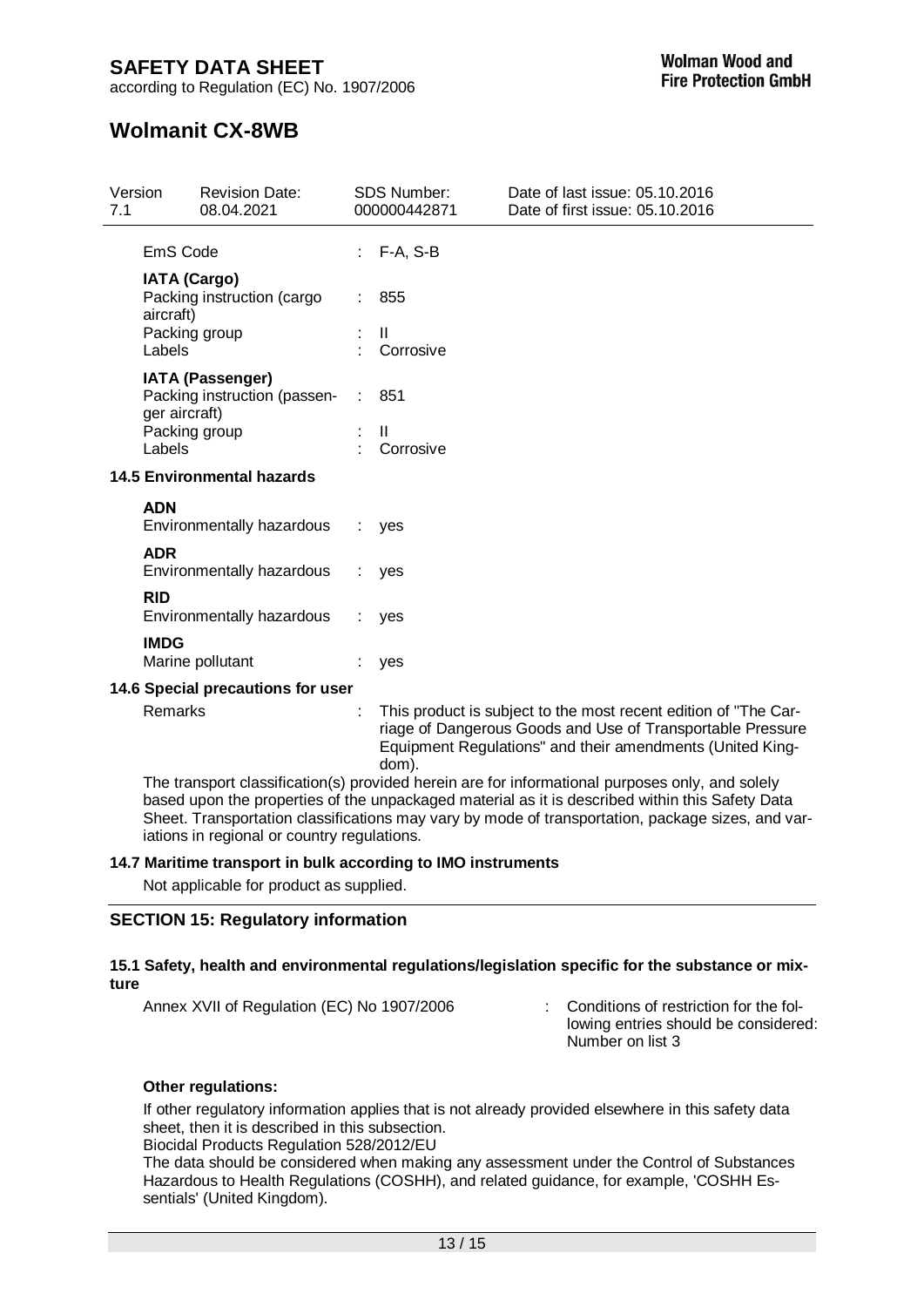according to Regulation (EC) No. 1907/2006

# **Wolmanit CX-8WB**

| This product is subject to the most recent edition of "The Car-<br>riage of Dangerous Goods and Use of Transportable Pressure<br>Equipment Regulations" and their amendments (United King- |
|--------------------------------------------------------------------------------------------------------------------------------------------------------------------------------------------|
|                                                                                                                                                                                            |

The transport classification(s) provided herein are for informational purposes only, and solely based upon the properties of the unpackaged material as it is described within this Safety Data Sheet. Transportation classifications may vary by mode of transportation, package sizes, and variations in regional or country regulations.

### **14.7 Maritime transport in bulk according to IMO instruments**

Not applicable for product as supplied.

### **SECTION 15: Regulatory information**

### **15.1 Safety, health and environmental regulations/legislation specific for the substance or mixture**

Annex XVII of Regulation (EC) No 1907/2006 : Conditions of restriction for the fol-

lowing entries should be considered: Number on list 3

### **Other regulations:**

If other regulatory information applies that is not already provided elsewhere in this safety data sheet, then it is described in this subsection.

Biocidal Products Regulation 528/2012/EU

The data should be considered when making any assessment under the Control of Substances Hazardous to Health Regulations (COSHH), and related guidance, for example, 'COSHH Essentials' (United Kingdom).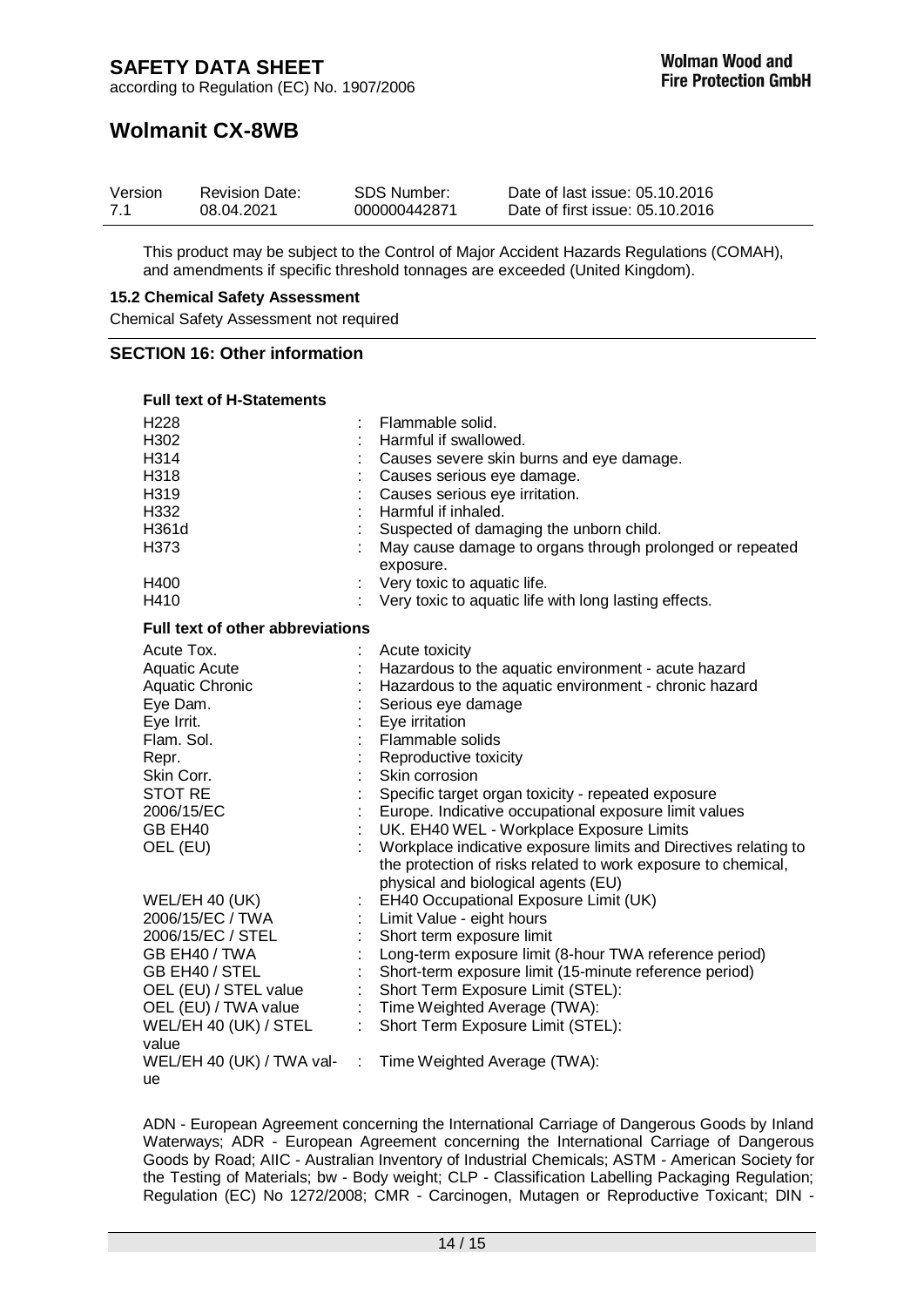## **Wolmanit CX-8WB**

| Version | <b>Revision Date:</b> | <b>SDS Number:</b> | Date of last issue: 05.10.2016  |
|---------|-----------------------|--------------------|---------------------------------|
| 7.1     | 08.04.2021            | 000000442871       | Date of first issue: 05.10.2016 |

This product may be subject to the Control of Major Accident Hazards Regulations (COMAH), and amendments if specific threshold tonnages are exceeded (United Kingdom).

#### **15.2 Chemical Safety Assessment**

Chemical Safety Assessment not required

### **SECTION 16: Other information**

| <b>Full text of H-Statements</b>        |                                                                       |
|-----------------------------------------|-----------------------------------------------------------------------|
| H <sub>228</sub>                        | Flammable solid.                                                      |
| H302                                    | Harmful if swallowed.                                                 |
| H314                                    | Causes severe skin burns and eye damage.                              |
| H318                                    | Causes serious eye damage.                                            |
| H319                                    | Causes serious eye irritation.                                        |
| H332                                    | Harmful if inhaled.                                                   |
| H361d                                   | Suspected of damaging the unborn child.                               |
| H373                                    | May cause damage to organs through prolonged or repeated<br>exposure. |
| H400                                    | Very toxic to aquatic life.                                           |
| H410                                    | Very toxic to aquatic life with long lasting effects.                 |
| Full text of other abbreviations        |                                                                       |
| Acute Tox.                              | Acute toxicity                                                        |
| <b>Aquatic Acute</b>                    | Hazardous to the aquatic environment - acute hazard                   |
| <b>Aquatic Chronic</b>                  | Hazardous to the aquatic environment - chronic hazard                 |
| Eye Dam.                                | Serious eye damage                                                    |
| Eye Irrit.                              | Eye irritation                                                        |
| Flam, Sol.                              | Flammable solids                                                      |
| Repr.                                   | Reproductive toxicity                                                 |
| Skin Corr.                              | Skin corrosion                                                        |
| <b>STOT RE</b>                          | Specific target organ toxicity - repeated exposure                    |
| 2006/15/EC                              | Europe. Indicative occupational exposure limit values                 |
| GB EH40                                 | UK. EH40 WEL - Workplace Exposure Limits                              |
| OEL (EU)                                | Workplace indicative exposure limits and Directives relating to       |
|                                         | the protection of risks related to work exposure to chemical,         |
|                                         | physical and biological agents (EU)                                   |
| WEL/EH 40 (UK)                          | EH40 Occupational Exposure Limit (UK)                                 |
| 2006/15/EC / TWA                        | Limit Value - eight hours                                             |
| 2006/15/EC / STEL                       | Short term exposure limit                                             |
| GB EH40 / TWA                           | Long-term exposure limit (8-hour TWA reference period)                |
| GB EH40 / STEL                          | Short-term exposure limit (15-minute reference period)                |
| OEL (EU) / STEL value                   | Short Term Exposure Limit (STEL):                                     |
| OEL (EU) / TWA value                    | $\mathcal{L}^{\mathcal{L}}$ .<br>Time Weighted Average (TWA):         |
| WEL/EH 40 (UK) / STEL                   | $\mathbb{N}^+$<br>Short Term Exposure Limit (STEL):                   |
| value                                   |                                                                       |
| WEL/EH 40 (UK) / TWA val-<br>$\sim 100$ | Time Weighted Average (TWA):                                          |
| ue                                      |                                                                       |

ADN - European Agreement concerning the International Carriage of Dangerous Goods by Inland Waterways; ADR - European Agreement concerning the International Carriage of Dangerous Goods by Road; AIIC - Australian Inventory of Industrial Chemicals; ASTM - American Society for the Testing of Materials; bw - Body weight; CLP - Classification Labelling Packaging Regulation; Regulation (EC) No 1272/2008; CMR - Carcinogen, Mutagen or Reproductive Toxicant; DIN -